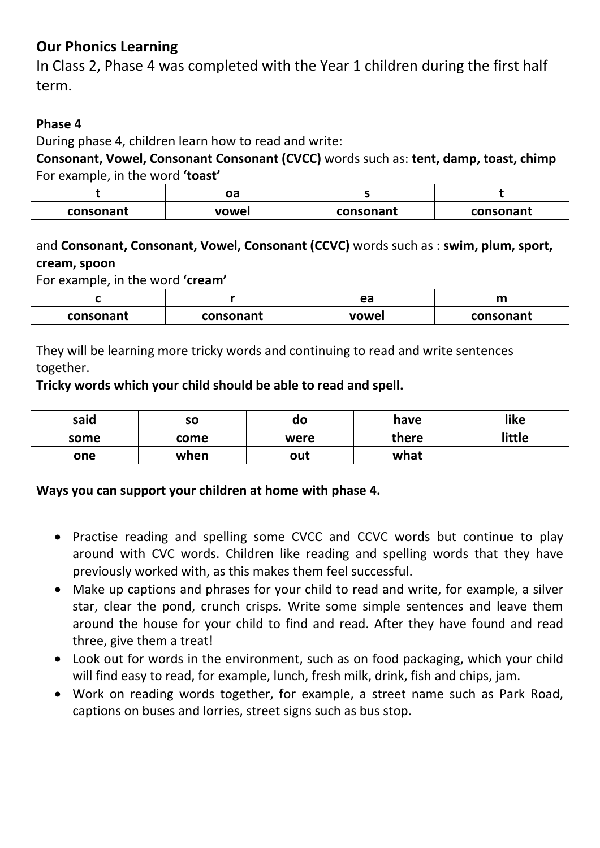# **Our Phonics Learning**

In Class 2, Phase 4 was completed with the Year 1 children during the first half term.

## **Phase 4**

During phase 4, children learn how to read and write:

**Consonant, Vowel, Consonant Consonant (CVCC)** words such as: **tent, damp, toast, chimp**  For example, in the word **'toast'**

|           | יי<br>υa |           |           |
|-----------|----------|-----------|-----------|
| consonant | vowel    | consonant | consonant |

## and **Consonant, Consonant, Vowel, Consonant (CCVC)** words such as : **swim, plum, sport, cream, spoon**

For example, in the word **'cream'**

|                        |  | ea    |           |
|------------------------|--|-------|-----------|
| consonant<br>consonant |  | vowel | consonant |

They will be learning more tricky words and continuing to read and write sentences together.

#### **Tricky words which your child should be able to read and spell.**

| said | so   | do   | have  | like   |
|------|------|------|-------|--------|
| some | come | were | there | little |
| one  | when | out  | what  |        |

#### **Ways you can support your children at home with phase 4.**

- Practise reading and spelling some CVCC and CCVC words but continue to play around with CVC words. Children like reading and spelling words that they have previously worked with, as this makes them feel successful.
- Make up captions and phrases for your child to read and write, for example, a silver star, clear the pond, crunch crisps. Write some simple sentences and leave them around the house for your child to find and read. After they have found and read three, give them a treat!
- Look out for words in the environment, such as on food packaging, which your child will find easy to read, for example, lunch, fresh milk, drink, fish and chips, jam.
- Work on reading words together, for example, a street name such as Park Road, captions on buses and lorries, street signs such as bus stop.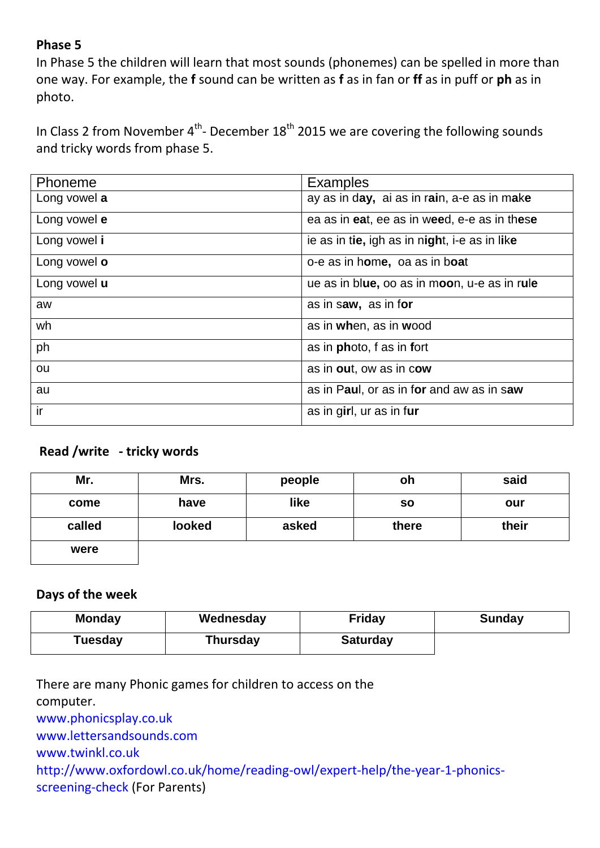### **Phase 5**

In Phase 5 the children will learn that most sounds (phonemes) can be spelled in more than one way. For example, the **f** sound can be written as **f** as in fan or **ff** as in puff or **ph** as in photo.

In Class 2 from November  $4<sup>th</sup>$ - December 18<sup>th</sup> 2015 we are covering the following sounds and tricky words from phase 5.

| Phoneme      | <b>Examples</b>                               |
|--------------|-----------------------------------------------|
| Long vowel a | ay as in day, ai as in rain, a-e as in make   |
| Long vowel e | ea as in eat, ee as in weed, e-e as in these  |
| Long vowel i | ie as in tie, igh as in night, i-e as in like |
| Long vowel o | o-e as in home, oa as in boat                 |
| Long vowel u | ue as in blue, oo as in moon, u-e as in rule  |
| aw           | as in saw, as in for                          |
| wh           | as in when, as in wood                        |
| ph           | as in <b>photo</b> , f as in fort             |
| ou           | as in out, ow as in cow                       |
| au           | as in Paul, or as in for and aw as in saw     |
| ir           | as in girl, ur as in fur                      |

#### **Read /write - tricky words**

| Mr.    | Mrs.   | people | oh        | said  |
|--------|--------|--------|-----------|-------|
| come   | have   | like   | <b>SO</b> | our   |
| called | looked | asked  | there     | their |
| were   |        |        |           |       |

#### **Days of the week**

| <b>Monday</b> | Wednesday       | <b>Friday</b>   | <b>Sunday</b> |
|---------------|-----------------|-----------------|---------------|
| Tuesday       | <b>Thursday</b> | <b>Saturday</b> |               |

There are many Phonic games for children to access on the computer. [www.phonicsplay.co.uk](http://www.phonicsplay.co.uk/) [www.lettersandsounds.com](http://www.lettersandsounds.com/) [www.twinkl.co.uk](http://www.twinkl.co.uk/) [http://www.oxfordowl.co.uk/home/reading-owl/expert-help/the-year-1-phonics](http://www.oxfordowl.co.uk/home/reading-owl/expert-help/the-year-1-phonics-screening-check)[screening-check](http://www.oxfordowl.co.uk/home/reading-owl/expert-help/the-year-1-phonics-screening-check) (For Parents)